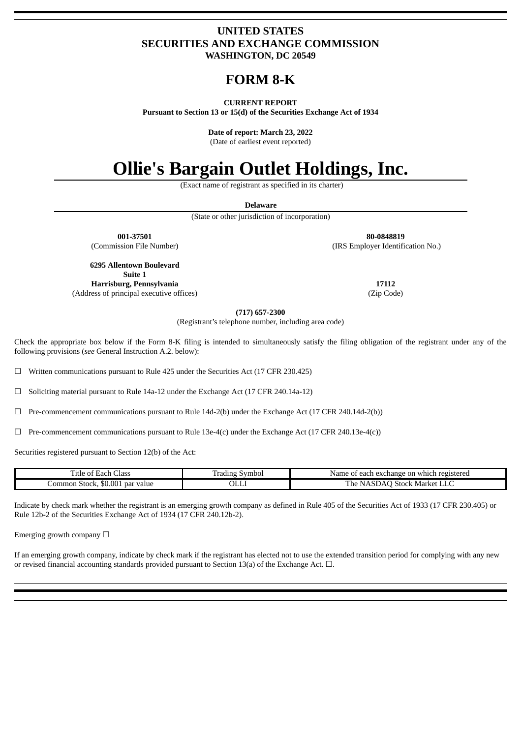## **UNITED STATES SECURITIES AND EXCHANGE COMMISSION WASHINGTON, DC 20549**

## **FORM 8-K**

#### **CURRENT REPORT**

**Pursuant to Section 13 or 15(d) of the Securities Exchange Act of 1934**

**Date of report: March 23, 2022**

(Date of earliest event reported)

# **Ollie's Bargain Outlet Holdings, Inc.**

(Exact name of registrant as specified in its charter)

**Delaware**

(State or other jurisdiction of incorporation)

**001-37501 80-0848819** (Commission File Number) (IRS Employer Identification No.)

**6295 Allentown Boulevard Suite 1 Harrisburg, Pennsylvania 17112** (Address of principal executive offices) (Zip Code)

**(717) 657-2300**

(Registrant's telephone number, including area code)

Check the appropriate box below if the Form 8-K filing is intended to simultaneously satisfy the filing obligation of the registrant under any of the following provisions (*see* General Instruction A.2. below):

 $\Box$  Written communications pursuant to Rule 425 under the Securities Act (17 CFR 230.425)

☐ Soliciting material pursuant to Rule 14a-12 under the Exchange Act (17 CFR 240.14a-12)

 $\Box$  Pre-commencement communications pursuant to Rule 14d-2(b) under the Exchange Act (17 CFR 240.14d-2(b))

 $\Box$  Pre-commencement communications pursuant to Rule 13e-4(c) under the Exchange Act (17 CFR 240.13e-4(c))

Securities registered pursuant to Section 12(b) of the Act:

| Title of<br>Class<br>Fach<br><b>EdUI</b>                         | Tradıng<br>vmbol | a registerea<br>i exchange on<br>Name<br>each<br>which<br>ΩL |
|------------------------------------------------------------------|------------------|--------------------------------------------------------------|
| $\sim$<br>. .<br>$\sim 20.001$<br>Stock.<br>-par value<br>Common | OLL.             | The<br>NASDAO<br>. Market<br>Stock.<br>N A<br>با سلطا        |

Indicate by check mark whether the registrant is an emerging growth company as defined in Rule 405 of the Securities Act of 1933 (17 CFR 230.405) or Rule 12b-2 of the Securities Exchange Act of 1934 (17 CFR 240.12b-2).

Emerging growth company  $\Box$ 

If an emerging growth company, indicate by check mark if the registrant has elected not to use the extended transition period for complying with any new or revised financial accounting standards provided pursuant to Section 13(a) of the Exchange Act.  $\square$ .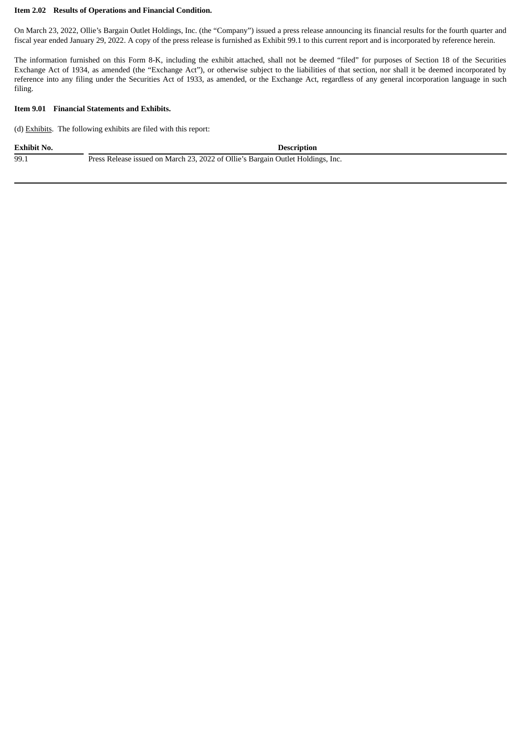## **Item 2.02 Results of Operations and Financial Condition.**

On March 23, 2022, Ollie's Bargain Outlet Holdings, Inc. (the "Company") issued a press release announcing its financial results for the fourth quarter and fiscal year ended January 29, 2022. A copy of the press release is furnished as Exhibit 99.1 to this current report and is incorporated by reference herein.

The information furnished on this Form 8-K, including the exhibit attached, shall not be deemed "filed" for purposes of Section 18 of the Securities Exchange Act of 1934, as amended (the "Exchange Act"), or otherwise subject to the liabilities of that section, nor shall it be deemed incorporated by reference into any filing under the Securities Act of 1933, as amended, or the Exchange Act, regardless of any general incorporation language in such filing.

#### **Item 9.01 Financial Statements and Exhibits.**

(d) Exhibits. The following exhibits are filed with this report:

| <b>Exhibit No.</b> | <b>Description</b>                                                              |
|--------------------|---------------------------------------------------------------------------------|
| 99.1               | Press Release issued on March 23, 2022 of Ollie's Bargain Outlet Holdings, Inc. |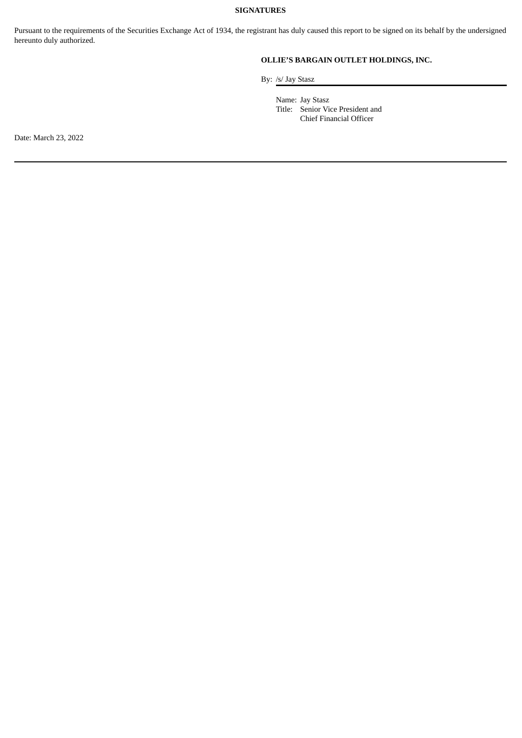## **SIGNATURES**

Pursuant to the requirements of the Securities Exchange Act of 1934, the registrant has duly caused this report to be signed on its behalf by the undersigned hereunto duly authorized.

## **OLLIE'S BARGAIN OUTLET HOLDINGS, INC.**

By: /s/ Jay Stasz

Name: Jay Stasz Title: Senior Vice President and Chief Financial Officer

Date: March 23, 2022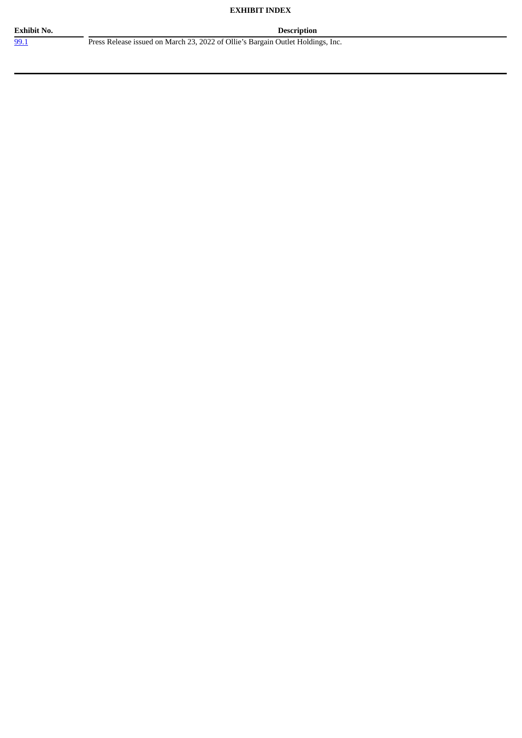## **EXHIBIT INDEX**

**Exhibit No. Description**

[99.1](#page-4-0) Press Release issued on March 23, 2022 of Ollie's Bargain Outlet Holdings, Inc.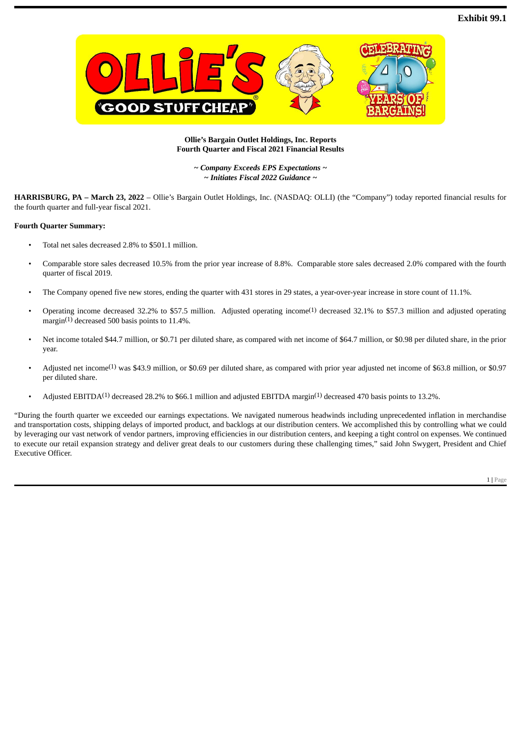<span id="page-4-0"></span>

## **Ollie's Bargain Outlet Holdings, Inc. Reports Fourth Quarter and Fiscal 2021 Financial Results**

#### *~ Company Exceeds EPS Expectations ~ ~ Initiates Fiscal 2022 Guidance ~*

**HARRISBURG, PA – March 23, 2022** – Ollie's Bargain Outlet Holdings, Inc. (NASDAQ: OLLI) (the "Company") today reported financial results for the fourth quarter and full-year fiscal 2021.

## **Fourth Quarter Summary:**

- Total net sales decreased 2.8% to \$501.1 million.
- Comparable store sales decreased 10.5% from the prior year increase of 8.8%. Comparable store sales decreased 2.0% compared with the fourth quarter of fiscal 2019.
- The Company opened five new stores, ending the quarter with 431 stores in 29 states, a year-over-year increase in store count of 11.1%.
- Operating income decreased 32.2% to \$57.5 million. Adjusted operating income<sup>(1)</sup> decreased 32.1% to \$57.3 million and adjusted operating margin(1) decreased 500 basis points to 11.4%.
- Net income totaled \$44.7 million, or \$0.71 per diluted share, as compared with net income of \$64.7 million, or \$0.98 per diluted share, in the prior year.
- Adjusted net income<sup>(1)</sup> was \$43.9 million, or \$0.69 per diluted share, as compared with prior year adjusted net income of \$63.8 million, or \$0.97 per diluted share.
- Adjusted EBITDA(1) decreased 28.2% to \$66.1 million and adjusted EBITDA margin(1) decreased 470 basis points to 13.2%.

"During the fourth quarter we exceeded our earnings expectations. We navigated numerous headwinds including unprecedented inflation in merchandise and transportation costs, shipping delays of imported product, and backlogs at our distribution centers. We accomplished this by controlling what we could by leveraging our vast network of vendor partners, improving efficiencies in our distribution centers, and keeping a tight control on expenses. We continued to execute our retail expansion strategy and deliver great deals to our customers during these challenging times," said John Swygert, President and Chief Executive Officer.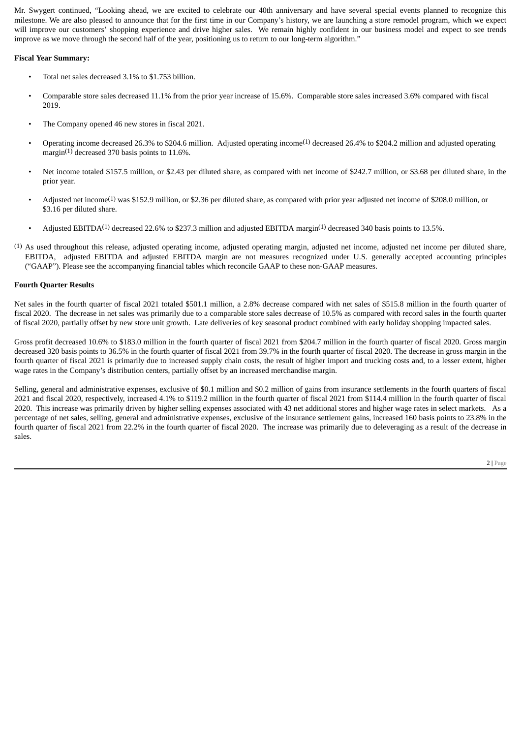Mr. Swygert continued, "Looking ahead, we are excited to celebrate our 40th anniversary and have several special events planned to recognize this milestone. We are also pleased to announce that for the first time in our Company's history, we are launching a store remodel program, which we expect will improve our customers' shopping experience and drive higher sales. We remain highly confident in our business model and expect to see trends improve as we move through the second half of the year, positioning us to return to our long-term algorithm."

## **Fiscal Year Summary:**

- Total net sales decreased 3.1% to \$1.753 billion.
- Comparable store sales decreased 11.1% from the prior year increase of 15.6%. Comparable store sales increased 3.6% compared with fiscal 2019.
- The Company opened 46 new stores in fiscal 2021.
- Operating income decreased 26.3% to \$204.6 million. Adjusted operating income<sup>(1)</sup> decreased 26.4% to \$204.2 million and adjusted operating margin<sup>(1)</sup> decreased 370 basis points to 11.6%.
- Net income totaled \$157.5 million, or \$2.43 per diluted share, as compared with net income of \$242.7 million, or \$3.68 per diluted share, in the prior year.
- Adjusted net income<sup>(1)</sup> was \$152.9 million, or \$2.36 per diluted share, as compared with prior year adjusted net income of \$208.0 million, or \$3.16 per diluted share.
- Adjusted EBITDA<sup>(1)</sup> decreased 22.6% to \$237.3 million and adjusted EBITDA margin<sup>(1)</sup> decreased 340 basis points to 13.5%.
- (1) As used throughout this release, adjusted operating income, adjusted operating margin, adjusted net income, adjusted net income per diluted share, EBITDA, adjusted EBITDA and adjusted EBITDA margin are not measures recognized under U.S. generally accepted accounting principles ("GAAP"). Please see the accompanying financial tables which reconcile GAAP to these non-GAAP measures.

### **Fourth Quarter Results**

Net sales in the fourth quarter of fiscal 2021 totaled \$501.1 million, a 2.8% decrease compared with net sales of \$515.8 million in the fourth quarter of fiscal 2020. The decrease in net sales was primarily due to a comparable store sales decrease of 10.5% as compared with record sales in the fourth quarter of fiscal 2020, partially offset by new store unit growth. Late deliveries of key seasonal product combined with early holiday shopping impacted sales.

Gross profit decreased 10.6% to \$183.0 million in the fourth quarter of fiscal 2021 from \$204.7 million in the fourth quarter of fiscal 2020. Gross margin decreased 320 basis points to 36.5% in the fourth quarter of fiscal 2021 from 39.7% in the fourth quarter of fiscal 2020. The decrease in gross margin in the fourth quarter of fiscal 2021 is primarily due to increased supply chain costs, the result of higher import and trucking costs and, to a lesser extent, higher wage rates in the Company's distribution centers, partially offset by an increased merchandise margin.

Selling, general and administrative expenses, exclusive of \$0.1 million and \$0.2 million of gains from insurance settlements in the fourth quarters of fiscal 2021 and fiscal 2020, respectively, increased 4.1% to \$119.2 million in the fourth quarter of fiscal 2021 from \$114.4 million in the fourth quarter of fiscal 2020. This increase was primarily driven by higher selling expenses associated with 43 net additional stores and higher wage rates in select markets. As a percentage of net sales, selling, general and administrative expenses, exclusive of the insurance settlement gains, increased 160 basis points to 23.8% in the fourth quarter of fiscal 2021 from 22.2% in the fourth quarter of fiscal 2020. The increase was primarily due to deleveraging as a result of the decrease in sales.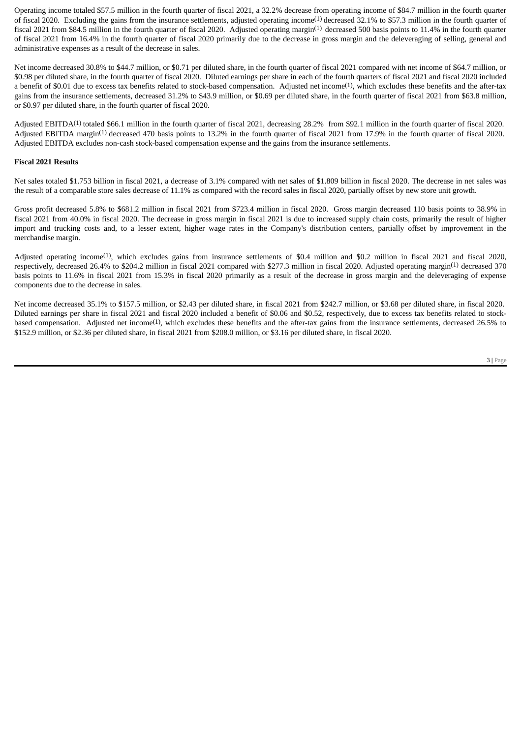Operating income totaled \$57.5 million in the fourth quarter of fiscal 2021, a 32.2% decrease from operating income of \$84.7 million in the fourth quarter of fiscal 2020. Excluding the gains from the insurance settlements, adjusted operating income<sup>(1)</sup> decreased  $32.1\%$  to \$57.3 million in the fourth quarter of fiscal 2021 from \$84.5 million in the fourth quarter of fiscal 2020. Adjusted operating margin(1) decreased 500 basis points to 11.4% in the fourth quarter of fiscal 2021 from 16.4% in the fourth quarter of fiscal 2020 primarily due to the decrease in gross margin and the deleveraging of selling, general and administrative expenses as a result of the decrease in sales.

Net income decreased 30.8% to \$44.7 million, or \$0.71 per diluted share, in the fourth quarter of fiscal 2021 compared with net income of \$64.7 million, or \$0.98 per diluted share, in the fourth quarter of fiscal 2020. Diluted earnings per share in each of the fourth quarters of fiscal 2021 and fiscal 2020 included a benefit of \$0.01 due to excess tax benefits related to stock-based compensation. Adjusted net income<sup>(1)</sup>, which excludes these benefits and the after-tax gains from the insurance settlements, decreased 31.2% to \$43.9 million, or \$0.69 per diluted share, in the fourth quarter of fiscal 2021 from \$63.8 million, or \$0.97 per diluted share, in the fourth quarter of fiscal 2020.

Adjusted EBITDA<sup>(1)</sup> totaled \$66.1 million in the fourth quarter of fiscal 2021, decreasing 28.2% from \$92.1 million in the fourth quarter of fiscal 2020. Adjusted EBITDA margin<sup>(1)</sup> decreased 470 basis points to 13.2% in the fourth quarter of fiscal 2021 from 17.9% in the fourth quarter of fiscal 2020. Adjusted EBITDA excludes non-cash stock-based compensation expense and the gains from the insurance settlements.

#### **Fiscal 2021 Results**

Net sales totaled \$1.753 billion in fiscal 2021, a decrease of 3.1% compared with net sales of \$1.809 billion in fiscal 2020. The decrease in net sales was the result of a comparable store sales decrease of 11.1% as compared with the record sales in fiscal 2020, partially offset by new store unit growth.

Gross profit decreased 5.8% to \$681.2 million in fiscal 2021 from \$723.4 million in fiscal 2020. Gross margin decreased 110 basis points to 38.9% in fiscal 2021 from 40.0% in fiscal 2020. The decrease in gross margin in fiscal 2021 is due to increased supply chain costs, primarily the result of higher import and trucking costs and, to a lesser extent, higher wage rates in the Company's distribution centers, partially offset by improvement in the merchandise margin.

Adjusted operating income<sup>(1)</sup>, which excludes gains from insurance settlements of \$0.4 million and \$0.2 million in fiscal 2021 and fiscal 2020, respectively, decreased 26.4% to \$204.2 million in fiscal 2021 compared with \$277.3 million in fiscal 2020. Adjusted operating margin(1) decreased 370 basis points to 11.6% in fiscal 2021 from 15.3% in fiscal 2020 primarily as a result of the decrease in gross margin and the deleveraging of expense components due to the decrease in sales.

Net income decreased 35.1% to \$157.5 million, or \$2.43 per diluted share, in fiscal 2021 from \$242.7 million, or \$3.68 per diluted share, in fiscal 2020. Diluted earnings per share in fiscal 2021 and fiscal 2020 included a benefit of \$0.06 and \$0.52, respectively, due to excess tax benefits related to stockbased compensation. Adjusted net income<sup>(1)</sup>, which excludes these benefits and the after-tax gains from the insurance settlements, decreased 26.5% to \$152.9 million, or \$2.36 per diluted share, in fiscal 2021 from \$208.0 million, or \$3.16 per diluted share, in fiscal 2020.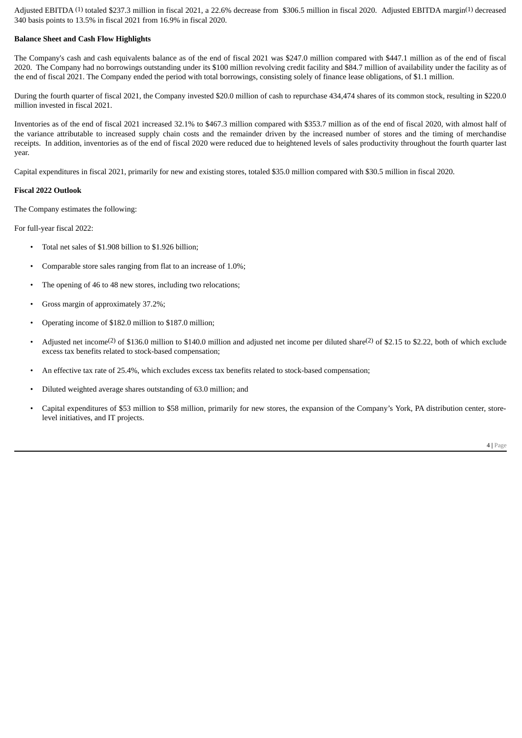Adjusted EBITDA (1) totaled \$237.3 million in fiscal 2021, a 22.6% decrease from \$306.5 million in fiscal 2020. Adjusted EBITDA margin<sup>(1)</sup> decreased 340 basis points to 13.5% in fiscal 2021 from 16.9% in fiscal 2020.

#### **Balance Sheet and Cash Flow Highlights**

The Company's cash and cash equivalents balance as of the end of fiscal 2021 was \$247.0 million compared with \$447.1 million as of the end of fiscal 2020. The Company had no borrowings outstanding under its \$100 million revolving credit facility and \$84.7 million of availability under the facility as of the end of fiscal 2021. The Company ended the period with total borrowings, consisting solely of finance lease obligations, of \$1.1 million.

During the fourth quarter of fiscal 2021, the Company invested \$20.0 million of cash to repurchase 434,474 shares of its common stock, resulting in \$220.0 million invested in fiscal 2021.

Inventories as of the end of fiscal 2021 increased 32.1% to \$467.3 million compared with \$353.7 million as of the end of fiscal 2020, with almost half of the variance attributable to increased supply chain costs and the remainder driven by the increased number of stores and the timing of merchandise receipts. In addition, inventories as of the end of fiscal 2020 were reduced due to heightened levels of sales productivity throughout the fourth quarter last year.

Capital expenditures in fiscal 2021, primarily for new and existing stores, totaled \$35.0 million compared with \$30.5 million in fiscal 2020.

#### **Fiscal 2022 Outlook**

The Company estimates the following:

For full-year fiscal 2022:

- Total net sales of \$1.908 billion to \$1.926 billion;
- Comparable store sales ranging from flat to an increase of 1.0%;
- The opening of 46 to 48 new stores, including two relocations;
- Gross margin of approximately 37.2%;
- Operating income of \$182.0 million to \$187.0 million;
- Adjusted net income<sup>(2)</sup> of \$136.0 million to \$140.0 million and adjusted net income per diluted share<sup>(2)</sup> of \$2.15 to \$2.22, both of which exclude excess tax benefits related to stock-based compensation;
- An effective tax rate of 25.4%, which excludes excess tax benefits related to stock-based compensation;
- Diluted weighted average shares outstanding of 63.0 million; and
- Capital expenditures of \$53 million to \$58 million, primarily for new stores, the expansion of the Company's York, PA distribution center, storelevel initiatives, and IT projects.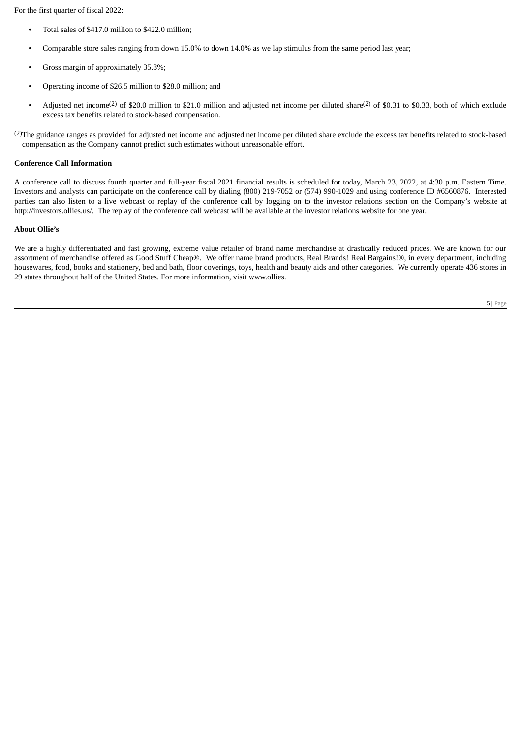For the first quarter of fiscal 2022:

- Total sales of \$417.0 million to \$422.0 million;
- Comparable store sales ranging from down 15.0% to down 14.0% as we lap stimulus from the same period last year;
- Gross margin of approximately 35.8%;
- Operating income of \$26.5 million to \$28.0 million; and
- Adjusted net income<sup>(2)</sup> of \$20.0 million to \$21.0 million and adjusted net income per diluted share<sup>(2)</sup> of \$0.31 to \$0.33, both of which exclude excess tax benefits related to stock-based compensation.
- (2)The guidance ranges as provided for adjusted net income and adjusted net income per diluted share exclude the excess tax benefits related to stock-based compensation as the Company cannot predict such estimates without unreasonable effort.

#### **Conference Call Information**

A conference call to discuss fourth quarter and full-year fiscal 2021 financial results is scheduled for today, March 23, 2022, at 4:30 p.m. Eastern Time. Investors and analysts can participate on the conference call by dialing (800) 219-7052 or (574) 990-1029 and using conference ID #6560876. Interested parties can also listen to a live webcast or replay of the conference call by logging on to the investor relations section on the Company's website at http://investors.ollies.us/. The replay of the conference call webcast will be available at the investor relations website for one year.

#### **About Ollie's**

We are a highly differentiated and fast growing, extreme value retailer of brand name merchandise at drastically reduced prices. We are known for our assortment of merchandise offered as Good Stuff Cheap®. We offer name brand products, Real Brands! Real Bargains!®, in every department, including housewares, food, books and stationery, bed and bath, floor coverings, toys, health and beauty aids and other categories. We currently operate 436 stores in 29 states throughout half of the United States. For more information, visit www.ollies.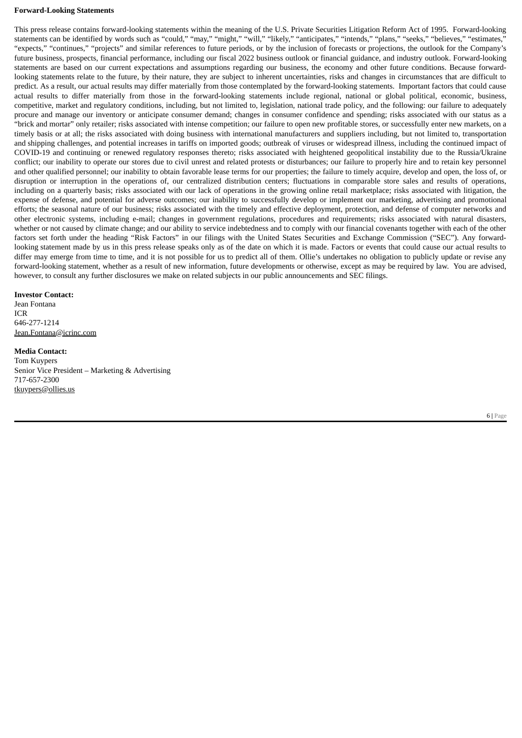#### **Forward-Looking Statements**

This press release contains forward-looking statements within the meaning of the U.S. Private Securities Litigation Reform Act of 1995. Forward-looking statements can be identified by words such as "could," "may," "might," "will," "likely," "anticipates," "intends," "plans," "seeks," "believes," "estimates, "expects," "continues," "projects" and similar references to future periods, or by the inclusion of forecasts or projections, the outlook for the Company's future business, prospects, financial performance, including our fiscal 2022 business outlook or financial guidance, and industry outlook. Forward-looking statements are based on our current expectations and assumptions regarding our business, the economy and other future conditions. Because forwardlooking statements relate to the future, by their nature, they are subject to inherent uncertainties, risks and changes in circumstances that are difficult to predict. As a result, our actual results may differ materially from those contemplated by the forward-looking statements. Important factors that could cause actual results to differ materially from those in the forward-looking statements include regional, national or global political, economic, business, competitive, market and regulatory conditions, including, but not limited to, legislation, national trade policy, and the following: our failure to adequately procure and manage our inventory or anticipate consumer demand; changes in consumer confidence and spending; risks associated with our status as a "brick and mortar" only retailer; risks associated with intense competition; our failure to open new profitable stores, or successfully enter new markets, on a timely basis or at all; the risks associated with doing business with international manufacturers and suppliers including, but not limited to, transportation and shipping challenges, and potential increases in tariffs on imported goods; outbreak of viruses or widespread illness, including the continued impact of COVID-19 and continuing or renewed regulatory responses thereto; risks associated with heightened geopolitical instability due to the Russia/Ukraine conflict; our inability to operate our stores due to civil unrest and related protests or disturbances; our failure to properly hire and to retain key personnel and other qualified personnel; our inability to obtain favorable lease terms for our properties; the failure to timely acquire, develop and open, the loss of, or disruption or interruption in the operations of, our centralized distribution centers; fluctuations in comparable store sales and results of operations, including on a quarterly basis; risks associated with our lack of operations in the growing online retail marketplace; risks associated with litigation, the expense of defense, and potential for adverse outcomes; our inability to successfully develop or implement our marketing, advertising and promotional efforts; the seasonal nature of our business; risks associated with the timely and effective deployment, protection, and defense of computer networks and other electronic systems, including e-mail; changes in government regulations, procedures and requirements; risks associated with natural disasters, whether or not caused by climate change; and our ability to service indebtedness and to comply with our financial covenants together with each of the other factors set forth under the heading "Risk Factors" in our filings with the United States Securities and Exchange Commission ("SEC"). Any forwardlooking statement made by us in this press release speaks only as of the date on which it is made. Factors or events that could cause our actual results to differ may emerge from time to time, and it is not possible for us to predict all of them. Ollie's undertakes no obligation to publicly update or revise any forward-looking statement, whether as a result of new information, future developments or otherwise, except as may be required by law. You are advised, however, to consult any further disclosures we make on related subjects in our public announcements and SEC filings.

#### **Investor Contact:**

Jean Fontana ICR 646-277-1214 Jean.Fontana@icrinc.com

#### **Media Contact:**

Tom Kuypers Senior Vice President – Marketing & Advertising 717-657-2300 tkuypers@ollies.us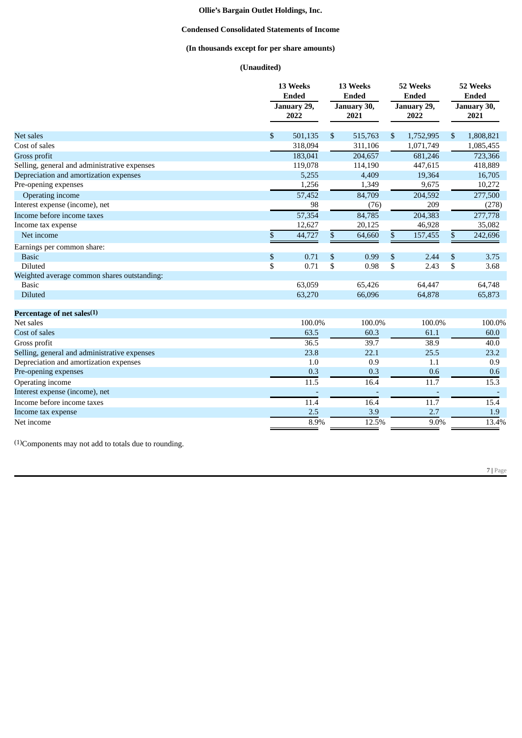## **Ollie's Bargain Outlet Holdings, Inc.**

## **Condensed Consolidated Statements of Income**

## **(In thousands except for per share amounts)**

## **(Unaudited)**

|                                              | 13 Weeks<br><b>Ended</b><br>January 29, |         | 13 Weeks<br><b>Ended</b><br>January 30, |         | 52 Weeks<br><b>Ended</b><br>January 29, |           | 52 Weeks<br><b>Ended</b><br>January 30, |
|----------------------------------------------|-----------------------------------------|---------|-----------------------------------------|---------|-----------------------------------------|-----------|-----------------------------------------|
|                                              |                                         | 2022    |                                         | 2021    |                                         | 2022      | 2021                                    |
| Net sales                                    | $\mathfrak{s}$                          | 501,135 | \$                                      | 515,763 | \$                                      | 1,752,995 | \$<br>1,808,821                         |
| Cost of sales                                |                                         | 318,094 |                                         | 311,106 |                                         | 1,071,749 | 1,085,455                               |
| Gross profit                                 |                                         | 183,041 |                                         | 204,657 |                                         | 681,246   | 723,366                                 |
| Selling, general and administrative expenses |                                         | 119,078 |                                         | 114,190 |                                         | 447,615   | 418,889                                 |
| Depreciation and amortization expenses       |                                         | 5,255   |                                         | 4,409   |                                         | 19,364    | 16,705                                  |
| Pre-opening expenses                         |                                         | 1,256   |                                         | 1,349   |                                         | 9,675     | 10,272                                  |
| Operating income                             |                                         | 57,452  |                                         | 84,709  |                                         | 204,592   | 277,500                                 |
| Interest expense (income), net               |                                         | 98      |                                         | (76)    |                                         | 209       | (278)                                   |
| Income before income taxes                   |                                         | 57,354  |                                         | 84,785  |                                         | 204,383   | 277,778                                 |
| Income tax expense                           |                                         | 12,627  |                                         | 20,125  |                                         | 46,928    | 35,082                                  |
| Net income                                   | \$                                      | 44,727  | \$                                      | 64,660  | \$                                      | 157,455   | \$<br>242,696                           |
| Earnings per common share:                   |                                         |         |                                         |         |                                         |           |                                         |
| <b>Basic</b>                                 | \$                                      | 0.71    | \$                                      | 0.99    | \$                                      | 2.44      | \$<br>3.75                              |
| <b>Diluted</b>                               | \$                                      | 0.71    | \$                                      | 0.98    | \$                                      | 2.43      | \$<br>3.68                              |
| Weighted average common shares outstanding:  |                                         |         |                                         |         |                                         |           |                                         |
| <b>Basic</b>                                 |                                         | 63,059  |                                         | 65,426  |                                         | 64,447    | 64,748                                  |
| <b>Diluted</b>                               |                                         | 63,270  |                                         | 66,096  |                                         | 64,878    | 65,873                                  |
| Percentage of net sales <sup>(1)</sup>       |                                         |         |                                         |         |                                         |           |                                         |
| Net sales                                    |                                         | 100.0%  |                                         | 100.0%  |                                         | 100.0%    | 100.0%                                  |
| Cost of sales                                |                                         | 63.5    |                                         | 60.3    |                                         | 61.1      | 60.0                                    |
| Gross profit                                 |                                         | 36.5    |                                         | 39.7    |                                         | 38.9      | 40.0                                    |
| Selling, general and administrative expenses |                                         | 23.8    |                                         | 22.1    |                                         | 25.5      | 23.2                                    |
| Depreciation and amortization expenses       |                                         | 1.0     |                                         | 0.9     |                                         | 1.1       | 0.9                                     |
| Pre-opening expenses                         |                                         | 0.3     |                                         | 0.3     |                                         | 0.6       | 0.6                                     |
| Operating income                             |                                         | 11.5    |                                         | 16.4    |                                         | 11.7      | 15.3                                    |
| Interest expense (income), net               |                                         |         |                                         |         |                                         |           |                                         |
| Income before income taxes                   |                                         | 11.4    |                                         | 16.4    |                                         | 11.7      | 15.4                                    |
| Income tax expense                           |                                         | 2.5     |                                         | 3.9     |                                         | 2.7       | 1.9                                     |
| Net income                                   |                                         | 8.9%    |                                         | 12.5%   |                                         | 9.0%      | 13.4%                                   |

(1)Components may not add to totals due to rounding.

7 **|** Page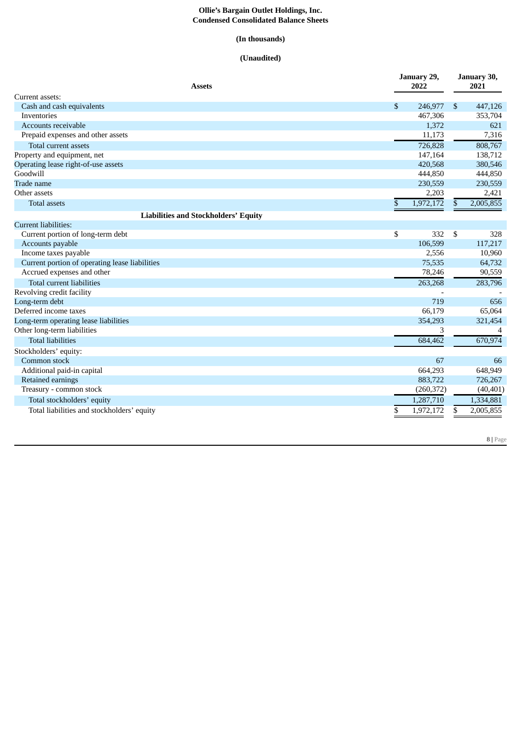#### **Ollie's Bargain Outlet Holdings, Inc. Condensed Consolidated Balance Sheets**

## **(In thousands)**

## **(Unaudited)**

| <b>Assets</b>                                  | January 29,<br>2022 | January 30,<br>2021 |
|------------------------------------------------|---------------------|---------------------|
| Current assets:                                |                     |                     |
| Cash and cash equivalents                      | \$<br>246,977       | \$<br>447,126       |
| Inventories                                    | 467,306             | 353,704             |
| Accounts receivable                            | 1,372               | 621                 |
| Prepaid expenses and other assets              | 11,173              | 7,316               |
| Total current assets                           | 726,828             | 808,767             |
| Property and equipment, net                    | 147,164             | 138,712             |
| Operating lease right-of-use assets            | 420,568             | 380,546             |
| Goodwill                                       | 444,850             | 444,850             |
| Trade name                                     | 230,559             | 230,559             |
| Other assets                                   | 2,203               | 2,421               |
| <b>Total assets</b>                            | \$<br>1,972,172     | \$<br>2,005,855     |
| <b>Liabilities and Stockholders' Equity</b>    |                     |                     |
| <b>Current liabilities:</b>                    |                     |                     |
| Current portion of long-term debt              | \$<br>332           | \$<br>328           |
| Accounts payable                               | 106,599             | 117,217             |
| Income taxes payable                           | 2,556               | 10,960              |
| Current portion of operating lease liabilities | 75,535              | 64,732              |
| Accrued expenses and other                     | 78,246              | 90,559              |
| Total current liabilities                      | 263,268             | 283,796             |
| Revolving credit facility                      |                     |                     |
| Long-term debt                                 | 719                 | 656                 |
| Deferred income taxes                          | 66,179              | 65,064              |
| Long-term operating lease liabilities          | 354,293             | 321,454             |
| Other long-term liabilities                    | 3                   |                     |
| <b>Total liabilities</b>                       | 684.462             | 670,974             |
| Stockholders' equity:                          |                     |                     |
| Common stock                                   | 67                  | 66                  |
| Additional paid-in capital                     | 664,293             | 648,949             |
| Retained earnings                              | 883,722             | 726,267             |
| Treasury - common stock                        | (260, 372)          | (40, 401)           |
| Total stockholders' equity                     | 1,287,710           | 1,334,881           |
| Total liabilities and stockholders' equity     | \$<br>1,972,172     | \$<br>2,005,855     |

8 **|** Page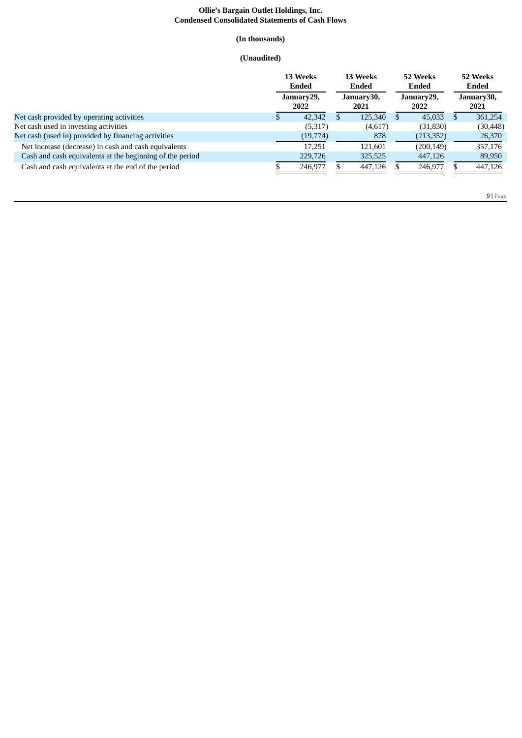#### **Ollie's Bargain Outlet Holdings, Inc. Condensed Consolidated Statements of Cash Flows**

## **(In thousands)**

## **(Unaudited)**

|                                                          | 13 Weeks<br>Ended |                    |   |                    |  |                    |    |                    | 13 Weeks<br>52 Weeks<br>Ended<br>Ended |  |  |  |  |  |  |  |  |  |  |  |  |  | 52 Weeks<br>Ended |
|----------------------------------------------------------|-------------------|--------------------|---|--------------------|--|--------------------|----|--------------------|----------------------------------------|--|--|--|--|--|--|--|--|--|--|--|--|--|-------------------|
|                                                          |                   | January29,<br>2022 |   | January30,<br>2021 |  | January29,<br>2022 |    | January30,<br>2021 |                                        |  |  |  |  |  |  |  |  |  |  |  |  |  |                   |
| Net cash provided by operating activities                | ж                 | 42,342             | Ж | 125,340            |  | 45,033             | S. | 361,254            |                                        |  |  |  |  |  |  |  |  |  |  |  |  |  |                   |
| Net cash used in investing activities                    |                   | (5,317)            |   | (4,617)            |  | (31, 830)          |    | (30, 448)          |                                        |  |  |  |  |  |  |  |  |  |  |  |  |  |                   |
| Net cash (used in) provided by financing activities      |                   | (19,774)           |   | 878                |  | (213, 352)         |    | 26,370             |                                        |  |  |  |  |  |  |  |  |  |  |  |  |  |                   |
| Net increase (decrease) in cash and cash equivalents     |                   | 17,251             |   | 121.601            |  | (200, 149)         |    | 357,176            |                                        |  |  |  |  |  |  |  |  |  |  |  |  |  |                   |
| Cash and cash equivalents at the beginning of the period |                   | 229,726            |   | 325,525            |  | 447,126            |    | 89,950             |                                        |  |  |  |  |  |  |  |  |  |  |  |  |  |                   |
| Cash and cash equivalents at the end of the period       |                   | 246,977            |   | 447,126            |  | 246.977            |    | 447.126            |                                        |  |  |  |  |  |  |  |  |  |  |  |  |  |                   |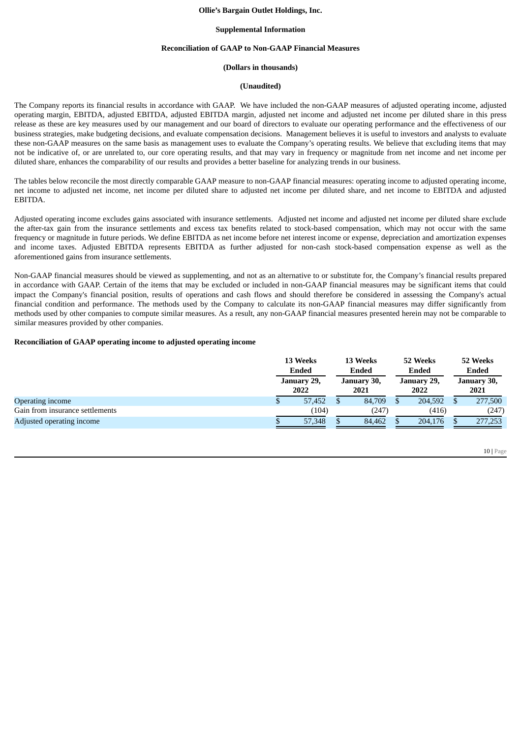#### **Ollie's Bargain Outlet Holdings, Inc.**

#### **Supplemental Information**

#### **Reconciliation of GAAP to Non-GAAP Financial Measures**

#### **(Dollars in thousands)**

### **(Unaudited)**

The Company reports its financial results in accordance with GAAP. We have included the non-GAAP measures of adjusted operating income, adjusted operating margin, EBITDA, adjusted EBITDA, adjusted EBITDA margin, adjusted net income and adjusted net income per diluted share in this press release as these are key measures used by our management and our board of directors to evaluate our operating performance and the effectiveness of our business strategies, make budgeting decisions, and evaluate compensation decisions. Management believes it is useful to investors and analysts to evaluate these non-GAAP measures on the same basis as management uses to evaluate the Company's operating results. We believe that excluding items that may not be indicative of, or are unrelated to, our core operating results, and that may vary in frequency or magnitude from net income and net income per diluted share, enhances the comparability of our results and provides a better baseline for analyzing trends in our business.

The tables below reconcile the most directly comparable GAAP measure to non-GAAP financial measures: operating income to adjusted operating income, net income to adjusted net income, net income per diluted share to adjusted net income per diluted share, and net income to EBITDA and adjusted EBITDA.

Adjusted operating income excludes gains associated with insurance settlements. Adjusted net income and adjusted net income per diluted share exclude the after-tax gain from the insurance settlements and excess tax benefits related to stock-based compensation, which may not occur with the same frequency or magnitude in future periods. We define EBITDA as net income before net interest income or expense, depreciation and amortization expenses and income taxes. Adjusted EBITDA represents EBITDA as further adjusted for non-cash stock-based compensation expense as well as the aforementioned gains from insurance settlements.

Non-GAAP financial measures should be viewed as supplementing, and not as an alternative to or substitute for, the Company's financial results prepared in accordance with GAAP. Certain of the items that may be excluded or included in non-GAAP financial measures may be significant items that could impact the Company's financial position, results of operations and cash flows and should therefore be considered in assessing the Company's actual financial condition and performance. The methods used by the Company to calculate its non-GAAP financial measures may differ significantly from methods used by other companies to compute similar measures. As a result, any non-GAAP financial measures presented herein may not be comparable to similar measures provided by other companies.

#### **Reconciliation of GAAP operating income to adjusted operating income**

|                                 |  | 13 Weeks<br>Ended<br>January 29,<br>2022 |  | 13 Weeks<br>Ended   |  |                     |  |                     |  | 52 Weeks<br>Ended |  |  |  |  |  |  |  |  | 52 Weeks<br>Ended |
|---------------------------------|--|------------------------------------------|--|---------------------|--|---------------------|--|---------------------|--|-------------------|--|--|--|--|--|--|--|--|-------------------|
|                                 |  |                                          |  | January 30,<br>2021 |  | January 29,<br>2022 |  | January 30,<br>2021 |  |                   |  |  |  |  |  |  |  |  |                   |
| Operating income                |  | 57,452                                   |  | 84,709              |  | 204,592             |  | 277,500             |  |                   |  |  |  |  |  |  |  |  |                   |
| Gain from insurance settlements |  | (104)                                    |  | (247)               |  | (416)               |  | (247)               |  |                   |  |  |  |  |  |  |  |  |                   |
| Adjusted operating income       |  | 57,348                                   |  | 84,462              |  | 204,176             |  | 277,253             |  |                   |  |  |  |  |  |  |  |  |                   |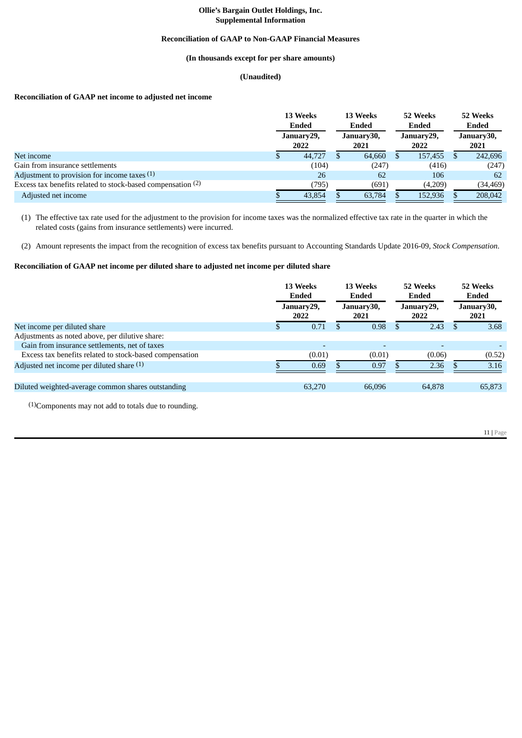## **Ollie's Bargain Outlet Holdings, Inc. Supplemental Information**

#### **Reconciliation of GAAP to Non-GAAP Financial Measures**

## **(In thousands except for per share amounts)**

## **(Unaudited)**

## **Reconciliation of GAAP net income to adjusted net income**

|                                                             |  | 13 Weeks<br>Ended<br>January29,<br>2022 |  |                    |  |                    |  |                    |  | 13 Weeks<br>Ended |  |  |  |  |  |  |  |  |  |  |  |  |  | 52 Weeks<br>Ended |  | 52 Weeks<br>Ended |
|-------------------------------------------------------------|--|-----------------------------------------|--|--------------------|--|--------------------|--|--------------------|--|-------------------|--|--|--|--|--|--|--|--|--|--|--|--|--|-------------------|--|-------------------|
|                                                             |  |                                         |  | January30,<br>2021 |  | January29,<br>2022 |  | January30,<br>2021 |  |                   |  |  |  |  |  |  |  |  |  |  |  |  |  |                   |  |                   |
| Net income                                                  |  | 44,727                                  |  | 64,660             |  | 157,455            |  | 242,696            |  |                   |  |  |  |  |  |  |  |  |  |  |  |  |  |                   |  |                   |
| Gain from insurance settlements                             |  | (104)                                   |  | (247)              |  | (416)              |  | (247)              |  |                   |  |  |  |  |  |  |  |  |  |  |  |  |  |                   |  |                   |
| Adjustment to provision for income taxes $(1)$              |  | 26                                      |  | 62                 |  | 106                |  | 62                 |  |                   |  |  |  |  |  |  |  |  |  |  |  |  |  |                   |  |                   |
| Excess tax benefits related to stock-based compensation (2) |  | (795)                                   |  | (691)              |  | (4,209)            |  | (34, 469)          |  |                   |  |  |  |  |  |  |  |  |  |  |  |  |  |                   |  |                   |
| Adjusted net income                                         |  | 43,854                                  |  | 63,784             |  | 152,936            |  | 208,042            |  |                   |  |  |  |  |  |  |  |  |  |  |  |  |  |                   |  |                   |

(1) The effective tax rate used for the adjustment to the provision for income taxes was the normalized effective tax rate in the quarter in which the related costs (gains from insurance settlements) were incurred.

(2) Amount represents the impact from the recognition of excess tax benefits pursuant to Accounting Standards Update 2016-09, *Stock Compensation*.

## **Reconciliation of GAAP net income per diluted share to adjusted net income per diluted share**

|                                                         | 13 Weeks<br>Ended |                          | 13 Weeks<br>Ended |                          |                          |                    |  |  |  |  |  |  |  |  |  |  |  |  | 52 Weeks<br>Ended | 52 Weeks<br>Ended |
|---------------------------------------------------------|-------------------|--------------------------|-------------------|--------------------------|--------------------------|--------------------|--|--|--|--|--|--|--|--|--|--|--|--|-------------------|-------------------|
|                                                         |                   | January29,<br>2022       |                   | January30,<br>2021       | January29,<br>2022       | January30,<br>2021 |  |  |  |  |  |  |  |  |  |  |  |  |                   |                   |
| Net income per diluted share                            | S                 | 0.71                     |                   | 0.98                     | 2.43                     | 3.68               |  |  |  |  |  |  |  |  |  |  |  |  |                   |                   |
| Adjustments as noted above, per dilutive share:         |                   |                          |                   |                          |                          |                    |  |  |  |  |  |  |  |  |  |  |  |  |                   |                   |
| Gain from insurance settlements, net of taxes           |                   | $\overline{\phantom{0}}$ |                   | $\overline{\phantom{0}}$ | $\overline{\phantom{0}}$ |                    |  |  |  |  |  |  |  |  |  |  |  |  |                   |                   |
| Excess tax benefits related to stock-based compensation |                   | (0.01)                   |                   | (0.01)                   | (0.06)                   | (0.52)             |  |  |  |  |  |  |  |  |  |  |  |  |                   |                   |
| Adjusted net income per diluted share (1)               |                   | 0.69                     |                   | 0.97                     | 2.36                     | 3.16               |  |  |  |  |  |  |  |  |  |  |  |  |                   |                   |
| Diluted weighted-average common shares outstanding      |                   | 63,270                   |                   | 66,096                   | 64,878                   | 65,873             |  |  |  |  |  |  |  |  |  |  |  |  |                   |                   |

(1)Components may not add to totals due to rounding.